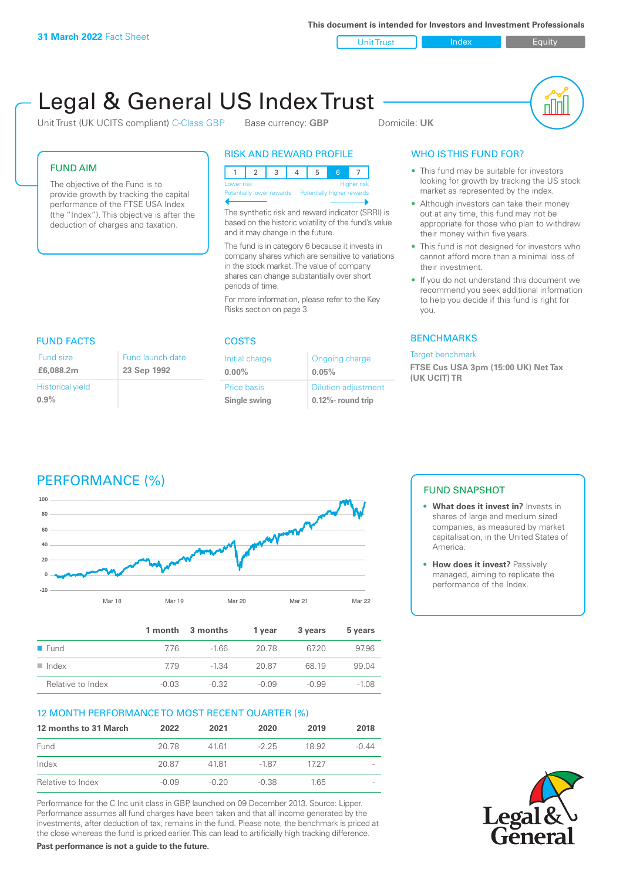**This document is intended for Investors and Investment Professionals**

Unit Trust Index I Equity

# Legal & General US Index Trust

Unit Trust (UK UCITS compliant) C-Class GBP Base currency: **GBP** Domicile: UK



#### FUND AIM

The objective of the Fund is to provide growth by tracking the capital performance of the FTSE USA Index (the "Index"). This objective is after the deduction of charges and taxation.

#### RISK AND REWARD PROFILE

|                                                      | <b>Higher risk</b><br>Lower risk |  |  |  |  |  |  |
|------------------------------------------------------|----------------------------------|--|--|--|--|--|--|
| Potentially lower rewards Potentially higher rewards |                                  |  |  |  |  |  |  |
|                                                      |                                  |  |  |  |  |  |  |

The synthetic risk and reward indicator (SRRI) is based on the historic volatility of the fund's value and it may change in the future.

The fund is in category 6 because it invests in company shares which are sensitive to variations in the stock market. The value of company shares can change substantially over short periods of time.

For more information, please refer to the Key Risks section on page 3.

| <b>FUND FACTS</b>       |                               |  |  |
|-------------------------|-------------------------------|--|--|
| Fund size<br>£6,088,2m  | Fund launch da<br>23 Sep 1992 |  |  |
| <b>Historical yield</b> |                               |  |  |

**0.9%**

#### COSTS Initial charge **0.00%** Price basis **Single swing** ite

| nitial charge | Ongoing charge             |
|---------------|----------------------------|
| $0.00\%$      | 0.05%                      |
| rice basis    | <b>Dilution adjustment</b> |
| ingle swing   | $0.12\%$ - round trip      |

### WHO IS THIS FUND FOR?

- This fund may be suitable for investors looking for growth by tracking the US stock market as represented by the index.
- Although investors can take their money out at any time, this fund may not be appropriate for those who plan to withdraw their money within five years.
- This fund is not designed for investors who cannot afford more than a minimal loss of their investment.
- If you do not understand this document we recommend you seek additional information to help you decide if this fund is right for you.

#### **BENCHMARKS**

#### Target benchmark

**FTSE Cus USA 3pm (15:00 UK) Net Tax (UK UCIT) TR**

## PERFORMANCE (%)



|                      |         | 1 month 3 months | 1 vear  | 3 years | 5 years |
|----------------------|---------|------------------|---------|---------|---------|
| $\blacksquare$ Fund  | 776     | $-166$           | 20.78   | 6720    | 97.96   |
| $\blacksquare$ Index | 779     | $-1.34$          | 20.87   | 68 19   | 99.04   |
| Relative to Index    | $-0.03$ | $-0.32$          | $-0.09$ | $-0.99$ | $-1.08$ |

#### 12 MONTH PERFORMANCE TO MOST RECENT QUARTER (%)

| 12 months to 31 March | 2022    | 2021    | 2020    | 2019  | 2018    |
|-----------------------|---------|---------|---------|-------|---------|
| Fund                  | 20.78   | 4161    | $-225$  | 18.92 | $-0.44$ |
| Index                 | 20.87   | 4181    | -187    | 1727  |         |
| Relative to Index     | $-0.09$ | $-0.20$ | $-0.38$ | 1 65  |         |

Performance for the C Inc unit class in GBP, launched on 09 December 2013. Source: Lipper. Performance assumes all fund charges have been taken and that all income generated by the investments, after deduction of tax, remains in the fund. Please note, the benchmark is priced at the close whereas the fund is priced earlier. This can lead to artificially high tracking difference.

**Past performance is not a guide to the future.**

#### FUND SNAPSHOT

- **• What does it invest in?** Invests in shares of large and medium sized companies, as measured by market capitalisation, in the United States of America.
- **• How does it invest?** Passively managed, aiming to replicate the performance of the Index.

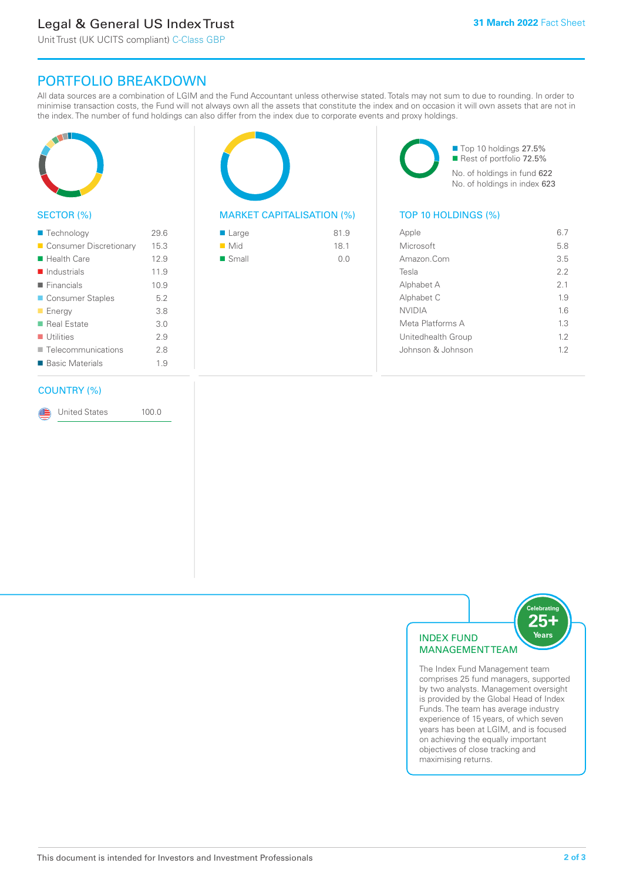### Legal & General US Index Trust

Unit Trust (UK UCITS compliant) C-Class GBP

### PORTFOLIO BREAKDOWN

All data sources are a combination of LGIM and the Fund Accountant unless otherwise stated. Totals may not sum to due to rounding. In order to minimise transaction costs, the Fund will not always own all the assets that constitute the index and on occasion it will own assets that are not in the index. The number of fund holdings can also differ from the index due to corporate events and proxy holdings.



#### SECTOR (%)

| ■ Technology               | 29.6 |
|----------------------------|------|
| ■ Consumer Discretionary   | 15.3 |
| ■ Health Care              | 12.9 |
| $\blacksquare$ Industrials | 11.9 |
| $\blacksquare$ Financials  | 10.9 |
| ■ Consumer Staples         | 5.2  |
| <b>Energy</b>              | 3.8  |
| ■ Real Estate              | 3.0  |
| $\blacksquare$ Utilities   | 2.9  |
| Telecommunications         | 2.8  |
| ■ Basic Materials          | 1.9  |

#### COUNTRY (%)

United States 100.0

#### MARKET CAPITALISATION (%) TOP 10 HOLDINGS (%)

| ■ Large              | 81.9 |
|----------------------|------|
| $\blacksquare$ Mid   | 18.1 |
| $\blacksquare$ Small | 0.0  |

■ Top 10 holdings 27.5% Rest of portfolio 72.5% No. of holdings in fund 622 No. of holdings in index 623

| Apple              | 67  |
|--------------------|-----|
| Microsoft          | 5.8 |
| Amazon.Com         | 3.5 |
| Tesla              | 22  |
| Alphabet A         | 2.1 |
| Alphabet C         | 19  |
| <b>NVIDIA</b>      | 1.6 |
| Meta Platforms A   | 1.3 |
| Unitedhealth Group | 12  |
| Johnson & Johnson  | 12  |
|                    |     |



The Index Fund Management team comprises 25 fund managers, supported by two analysts. Management oversight is provided by the Global Head of Index Funds. The team has average industry experience of 15 years, of which seven years has been at LGIM, and is focused on achieving the equally important objectives of close tracking and maximising returns.